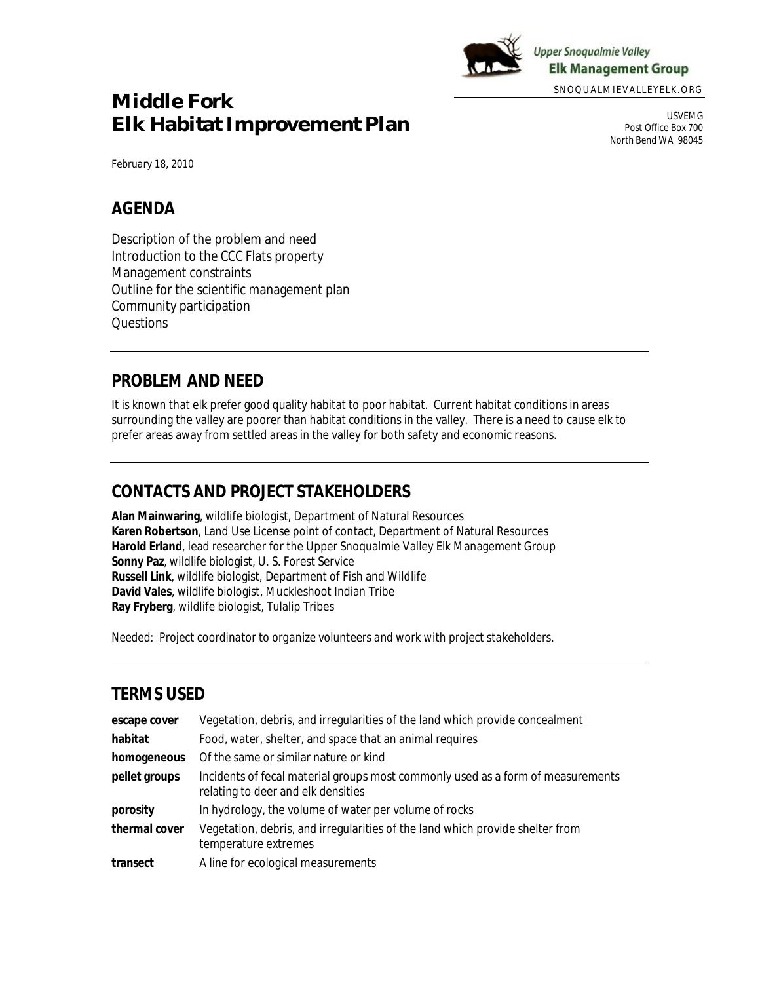

**Upper Snoqualmie Valley Elk Management Group** 

SNOQUALMIEVALLEYELK.ORG

# **Middle Fork Elk Habitat Improvement Plan**

USVEMG Post Office Box 700 North Bend WA 98045

*February 18, 2010*

### **AGENDA**

Description of the problem and need Introduction to the CCC Flats property Management constraints Outline for the scientific management plan Community participation **Questions** 

### **PROBLEM AND NEED**

It is known that elk prefer good quality habitat to poor habitat. Current habitat conditions in areas surrounding the valley are poorer than habitat conditions in the valley. There is a need to cause elk to prefer areas away from settled areas in the valley for both safety and economic reasons.

### **CONTACTS AND PROJECT STAKEHOLDERS**

**Alan Mainwaring**, wildlife biologist, Department of Natural Resources **Karen Robertson**, Land Use License point of contact, Department of Natural Resources **Harold Erland**, lead researcher for the Upper Snoqualmie Valley Elk Management Group **Sonny Paz**, wildlife biologist, U. S. Forest Service **Russell Link**, wildlife biologist, Department of Fish and Wildlife **David Vales**, wildlife biologist, Muckleshoot Indian Tribe **Ray Fryberg**, wildlife biologist, Tulalip Tribes

*Needed: Project coordinator to organize volunteers and work with project stakeholders.*

## **TERMS USED**

| escape cover  | Vegetation, debris, and irregularities of the land which provide concealment                                          |  |
|---------------|-----------------------------------------------------------------------------------------------------------------------|--|
| habitat       | Food, water, shelter, and space that an animal requires                                                               |  |
| homogeneous   | Of the same or similar nature or kind                                                                                 |  |
| pellet groups | Incidents of fecal material groups most commonly used as a form of measurements<br>relating to deer and elk densities |  |
| porosity      | In hydrology, the volume of water per volume of rocks                                                                 |  |
| thermal cover | Vegetation, debris, and irregularities of the land which provide shelter from<br>temperature extremes                 |  |
| transect      | A line for ecological measurements                                                                                    |  |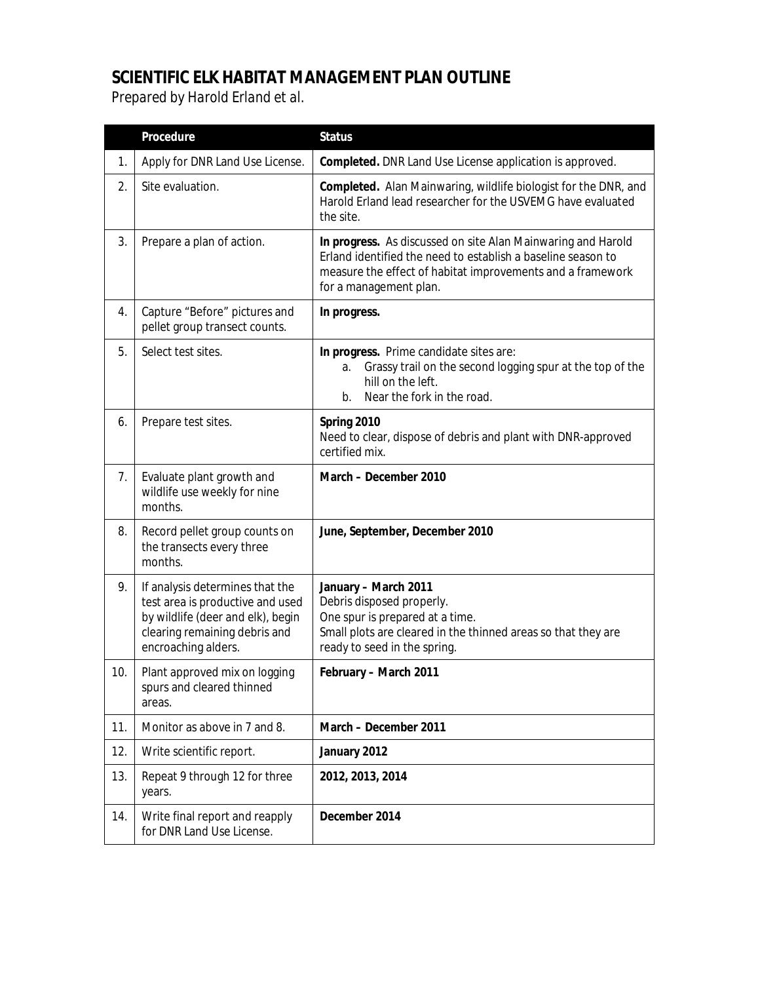## **SCIENTIFIC ELK HABITAT MANAGEMENT PLAN OUTLINE** *Prepared by Harold Erland et al.*

|     | Procedure                                                                                                                                                        | <b>Status</b>                                                                                                                                                                                                        |
|-----|------------------------------------------------------------------------------------------------------------------------------------------------------------------|----------------------------------------------------------------------------------------------------------------------------------------------------------------------------------------------------------------------|
| 1.  | Apply for DNR Land Use License.                                                                                                                                  | Completed. DNR Land Use License application is approved.                                                                                                                                                             |
| 2.  | Site evaluation.                                                                                                                                                 | Completed. Alan Mainwaring, wildlife biologist for the DNR, and<br>Harold Erland lead researcher for the USVEMG have evaluated<br>the site.                                                                          |
| 3.  | Prepare a plan of action.                                                                                                                                        | In progress. As discussed on site Alan Mainwaring and Harold<br>Erland identified the need to establish a baseline season to<br>measure the effect of habitat improvements and a framework<br>for a management plan. |
| 4.  | Capture "Before" pictures and<br>pellet group transect counts.                                                                                                   | In progress.                                                                                                                                                                                                         |
| 5.  | Select test sites.                                                                                                                                               | In progress. Prime candidate sites are:<br>Grassy trail on the second logging spur at the top of the<br>a.<br>hill on the left.<br>Near the fork in the road.<br>$b_{1}$                                             |
| 6.  | Prepare test sites.                                                                                                                                              | Spring 2010<br>Need to clear, dispose of debris and plant with DNR-approved<br>certified mix.                                                                                                                        |
| 7.  | Evaluate plant growth and<br>wildlife use weekly for nine<br>months.                                                                                             | March - December 2010                                                                                                                                                                                                |
| 8.  | Record pellet group counts on<br>the transects every three<br>months.                                                                                            | June, September, December 2010                                                                                                                                                                                       |
| 9.  | If analysis determines that the<br>test area is productive and used<br>by wildlife (deer and elk), begin<br>clearing remaining debris and<br>encroaching alders. | January - March 2011<br>Debris disposed properly.<br>One spur is prepared at a time.<br>Small plots are cleared in the thinned areas so that they are<br>ready to seed in the spring.                                |
| 10. | Plant approved mix on logging<br>spurs and cleared thinned<br>areas.                                                                                             | February - March 2011                                                                                                                                                                                                |
| 11. | Monitor as above in 7 and 8.                                                                                                                                     | March - December 2011                                                                                                                                                                                                |
| 12. | Write scientific report.                                                                                                                                         | January 2012                                                                                                                                                                                                         |
| 13. | Repeat 9 through 12 for three<br>years.                                                                                                                          | 2012, 2013, 2014                                                                                                                                                                                                     |
| 14. | Write final report and reapply<br>for DNR Land Use License.                                                                                                      | December 2014                                                                                                                                                                                                        |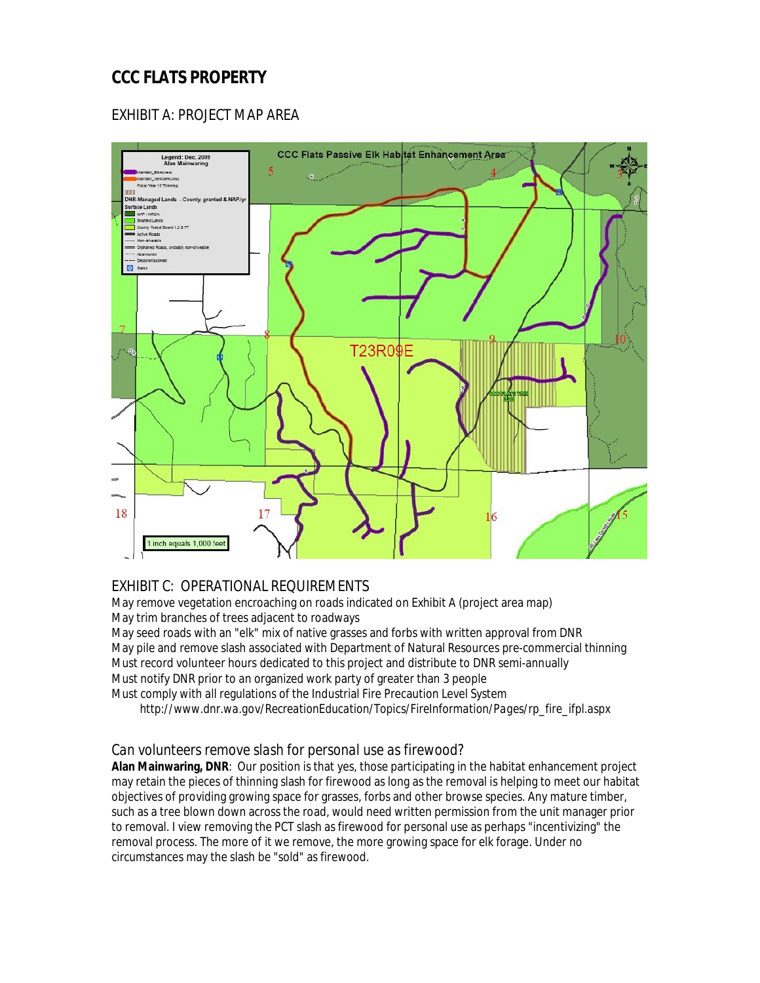## **CCC FLATS PROPERTY**

### EXHIBIT A: PROJECT MAP AREA



### EXHIBIT C: OPERATIONAL REQUIREMENTS

May remove vegetation encroaching on roads indicated on Exhibit A (project area map) May trim branches of trees adjacent to roadways

May seed roads with an "elk" mix of native grasses and forbs with written approval from DNR May pile and remove slash associated with Department of Natural Resources pre-commercial thinning Must record volunteer hours dedicated to this project and distribute to DNR semi-annually Must notify DNR prior to an organized work party of greater than 3 people

Must comply with all regulations of the Industrial Fire Precaution Level System

 *http://www.dnr.wa.gov/RecreationEducation/Topics/FireInformation/Pages/rp\_fire\_ifpl.aspx*

#### *Can volunteers remove slash for personal use as firewood?*

**Alan Mainwaring, DNR**: Our position is that yes, those participating in the habitat enhancement project may retain the pieces of thinning slash for firewood as long as the removal is helping to meet our habitat objectives of providing growing space for grasses, forbs and other browse species. Any mature timber, such as a tree blown down across the road, would need written permission from the unit manager prior to removal. I view removing the PCT slash as firewood for personal use as perhaps "incentivizing" the removal process. The more of it we remove, the more growing space for elk forage. Under no circumstances may the slash be "sold" as firewood.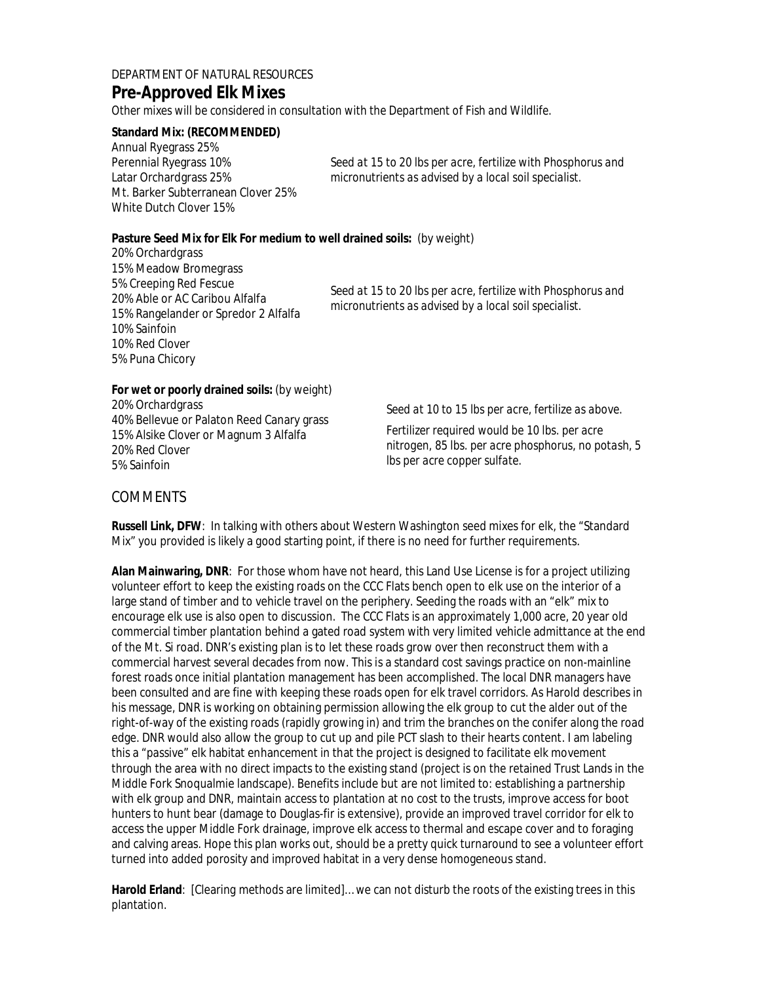### DEPARTMENT OF NATURAL RESOURCES **Pre-Approved Elk Mixes**

*Other mixes will be considered in consultation with the Department of Fish and Wildlife.*

**Standard Mix: (RECOMMENDED)** Annual Ryegrass 25% Perennial Ryegrass 10% Latar Orchardgrass 25% Mt. Barker Subterranean Clover 25% White Dutch Clover 15%

*Seed at 15 to 20 lbs per acre, fertilize with Phosphorus and micronutrients as advised by a local soil specialist.* 

**Pasture Seed Mix for Elk For medium to well drained soils:** (by weight) 20% Orchardgrass 15% Meadow Bromegrass 5% Creeping Red Fescue 20% Able or AC Caribou Alfalfa 15% Rangelander or Spredor 2 Alfalfa 10% Sainfoin 10% Red Clover 5% Puna Chicory *Seed at 15 to 20 lbs per acre, fertilize with Phosphorus and micronutrients as advised by a local soil specialist.* 

**For wet or poorly drained soils:** (by weight) 20% Orchardgrass 40% Bellevue or Palaton Reed Canary grass 15% Alsike Clover or Magnum 3 Alfalfa 20% Red Clover 5% Sainfoin

*Seed at 10 to 15 lbs per acre, fertilize as above.*

*Fertilizer required would be 10 lbs. per acre nitrogen, 85 lbs. per acre phosphorus, no potash, 5 lbs per acre copper sulfate.*

#### COMMENTS

**Russell Link, DFW**: In talking with others about Western Washington seed mixes for elk, the "Standard Mix" you provided is likely a good starting point, if there is no need for further requirements.

**Alan Mainwaring, DNR**: For those whom have not heard, this Land Use License is for a project utilizing volunteer effort to keep the existing roads on the CCC Flats bench open to elk use on the interior of a large stand of timber and to vehicle travel on the periphery. Seeding the roads with an "elk" mix to encourage elk use is also open to discussion. The CCC Flats is an approximately 1,000 acre, 20 year old commercial timber plantation behind a gated road system with very limited vehicle admittance at the end of the Mt. Si road. DNR's existing plan is to let these roads grow over then reconstruct them with a commercial harvest several decades from now. This is a standard cost savings practice on non-mainline forest roads once initial plantation management has been accomplished. The local DNR managers have been consulted and are fine with keeping these roads open for elk travel corridors. As Harold describes in his message, DNR is working on obtaining permission allowing the elk group to cut the alder out of the right-of-way of the existing roads (rapidly growing in) and trim the branches on the conifer along the road edge. DNR would also allow the group to cut up and pile PCT slash to their hearts content. I am labeling this a "passive" elk habitat enhancement in that the project is designed to facilitate elk movement through the area with no direct impacts to the existing stand (project is on the retained Trust Lands in the Middle Fork Snoqualmie landscape). Benefits include but are not limited to: establishing a partnership with elk group and DNR, maintain access to plantation at no cost to the trusts, improve access for boot hunters to hunt bear (damage to Douglas-fir is extensive), provide an improved travel corridor for elk to access the upper Middle Fork drainage, improve elk access to thermal and escape cover and to foraging and calving areas. Hope this plan works out, should be a pretty quick turnaround to see a volunteer effort turned into added porosity and improved habitat in a very dense homogeneous stand.

**Harold Erland**: [Clearing methods are limited]… we can not disturb the roots of the existing trees in this plantation.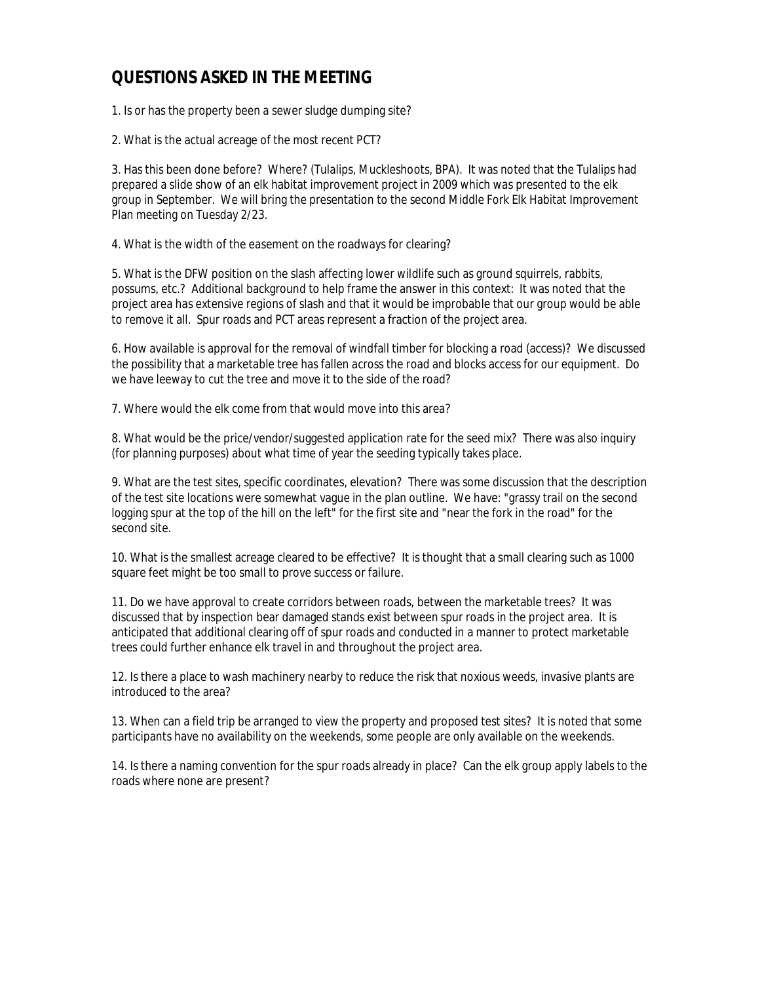### **QUESTIONS ASKED IN THE MEETING**

1. Is or has the property been a sewer sludge dumping site?

2. What is the actual acreage of the most recent PCT?

3. Has this been done before? Where? (Tulalips, Muckleshoots, BPA). It was noted that the Tulalips had prepared a slide show of an elk habitat improvement project in 2009 which was presented to the elk group in September. We will bring the presentation to the second Middle Fork Elk Habitat Improvement Plan meeting on Tuesday 2/23.

4. What is the width of the easement on the roadways for clearing?

5. What is the DFW position on the slash affecting lower wildlife such as ground squirrels, rabbits, possums, etc.? Additional background to help frame the answer in this context: It was noted that the project area has extensive regions of slash and that it would be improbable that our group would be able to remove it all. Spur roads and PCT areas represent a fraction of the project area.

6. How available is approval for the removal of windfall timber for blocking a road (access)? We discussed the possibility that a marketable tree has fallen across the road and blocks access for our equipment. Do we have leeway to cut the tree and move it to the side of the road?

7. Where would the elk come from that would move into this area?

8. What would be the price/vendor/suggested application rate for the seed mix? There was also inquiry (for planning purposes) about what time of year the seeding typically takes place.

9. What are the test sites, specific coordinates, elevation? There was some discussion that the description of the test site locations were somewhat vague in the plan outline. We have: "grassy trail on the second logging spur at the top of the hill on the left" for the first site and "near the fork in the road" for the second site.

10. What is the smallest acreage cleared to be effective? It is thought that a small clearing such as 1000 square feet might be too small to prove success or failure.

11. Do we have approval to create corridors between roads, between the marketable trees? It was discussed that by inspection bear damaged stands exist between spur roads in the project area. It is anticipated that additional clearing off of spur roads and conducted in a manner to protect marketable trees could further enhance elk travel in and throughout the project area.

12. Is there a place to wash machinery nearby to reduce the risk that noxious weeds, invasive plants are introduced to the area?

13. When can a field trip be arranged to view the property and proposed test sites? It is noted that some participants have no availability on the weekends, some people are only available on the weekends.

14. Is there a naming convention for the spur roads already in place? Can the elk group apply labels to the roads where none are present?